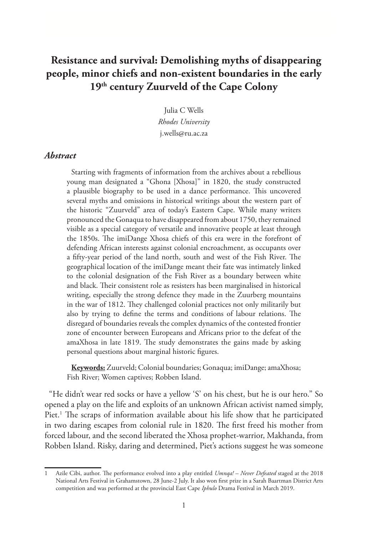# **Resistance and survival: Demolishing myths of disappearing people, minor chiefs and non-existent boundaries in the early 19th century Zuurveld of the Cape Colony**

Julia C Wells *Rhodes University* j.wells@ru.ac.za

#### *Abstract*

Starting with fragments of information from the archives about a rebellious young man designated a "Ghona [Xhosa]" in 1820, the study constructed a plausible biography to be used in a dance performance. This uncovered several myths and omissions in historical writings about the western part of the historic "Zuurveld" area of today's Eastern Cape. While many writers pronounced the Gonaqua to have disappeared from about 1750, they remained visible as a special category of versatile and innovative people at least through the 1850s. The imiDange Xhosa chiefs of this era were in the forefront of defending African interests against colonial encroachment, as occupants over a fifty-year period of the land north, south and west of the Fish River. The geographical location of the imiDange meant their fate was intimately linked to the colonial designation of the Fish River as a boundary between white and black. Their consistent role as resisters has been marginalised in historical writing, especially the strong defence they made in the Zuurberg mountains in the war of 1812. They challenged colonial practices not only militarily but also by trying to define the terms and conditions of labour relations. The disregard of boundaries reveals the complex dynamics of the contested frontier zone of encounter between Europeans and Africans prior to the defeat of the amaXhosa in late 1819. The study demonstrates the gains made by asking personal questions about marginal historic figures.

**Keywords:** Zuurveld; Colonial boundaries; Gonaqua; imiDange; amaXhosa; Fish River; Women captives; Robben Island.

"He didn't wear red socks or have a yellow 'S' on his chest, but he is our hero." So opened a play on the life and exploits of an unknown African activist named simply, Piet.<sup>1</sup> The scraps of information available about his life show that he participated in two daring escapes from colonial rule in 1820. The first freed his mother from forced labour, and the second liberated the Xhosa prophet-warrior, Makhanda, from Robben Island. Risky, daring and determined, Piet's actions suggest he was someone

<sup>1</sup> Azile Cibi, author. The performance evolved into a play entitled *Umnqa! – Never Defeated* staged at the 2018 National Arts Festival in Grahamstown, 28 June-2 July. It also won first prize in a Sarah Baartman District Arts competition and was performed at the provincial East Cape *Iphulo* Drama Festival in March 2019.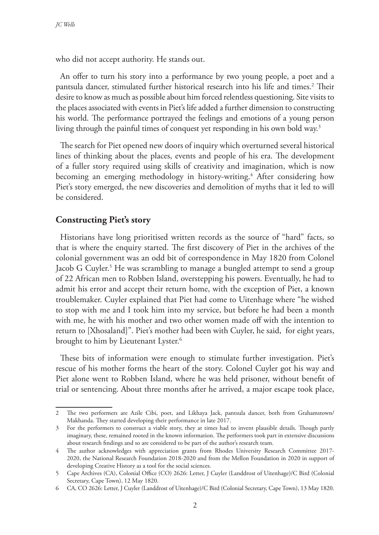who did not accept authority. He stands out.

An offer to turn his story into a performance by two young people, a poet and a pantsula dancer, stimulated further historical research into his life and times.<sup>2</sup> Their desire to know as much as possible about him forced relentless questioning. Site visits to the places associated with events in Piet's life added a further dimension to constructing his world. The performance portrayed the feelings and emotions of a young person living through the painful times of conquest yet responding in his own bold way.3

The search for Piet opened new doors of inquiry which overturned several historical lines of thinking about the places, events and people of his era. The development of a fuller story required using skills of creativity and imagination, which is now becoming an emerging methodology in history-writing.<sup>4</sup> After considering how Piet's story emerged, the new discoveries and demolition of myths that it led to will be considered.

### **Constructing Piet's story**

Historians have long prioritised written records as the source of "hard" facts, so that is where the enquiry started. The first discovery of Piet in the archives of the colonial government was an odd bit of correspondence in May 1820 from Colonel Jacob G Cuyler.<sup>5</sup> He was scrambling to manage a bungled attempt to send a group of 22 African men to Robben Island, overstepping his powers. Eventually, he had to admit his error and accept their return home, with the exception of Piet, a known troublemaker. Cuyler explained that Piet had come to Uitenhage where "he wished to stop with me and I took him into my service, but before he had been a month with me, he with his mother and two other women made off with the intention to return to [Xhosaland]". Piet's mother had been with Cuyler, he said, for eight years, brought to him by Lieutenant Lyster.<sup>6</sup>

These bits of information were enough to stimulate further investigation. Piet's rescue of his mother forms the heart of the story. Colonel Cuyler got his way and Piet alone went to Robben Island, where he was held prisoner, without benefit of trial or sentencing. About three months after he arrived, a major escape took place,

<sup>2</sup> The two performers are Azile Cibi, poet, and Likhaya Jack, pantsula dancer, both from Grahamstown/ Makhanda. They started developing their performance in late 2017.

<sup>3</sup> For the performers to construct a viable story, they at times had to invent plausible details. Though partly imaginary, these, remained rooted in the known information. The performers took part in extensive discussions about research findings and so are considered to be part of the author's research team.

<sup>4</sup> The author acknowledges with appreciation grants from Rhodes University Research Committee 2017- 2020, the National Research Foundation 2018-2020 and from the Mellon Foundation in 2020 in support of developing Creative History as a tool for the social sciences.

<sup>5</sup> Cape Archives (CA), Colonial Office (CO) 2626: Letter, J Cuyler (Landdrost of Uitenhage)/C Bird (Colonial Secretary, Cape Town), 12 May 1820.

<sup>6</sup> CA, CO 2626: Letter, J Cuyler (Landdrost of Uitenhage)/C Bird (Colonial Secretary, Cape Town), 13 May 1820.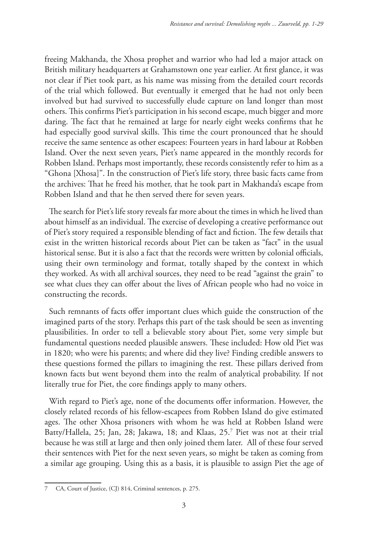freeing Makhanda, the Xhosa prophet and warrior who had led a major attack on British military headquarters at Grahamstown one year earlier. At first glance, it was not clear if Piet took part, as his name was missing from the detailed court records of the trial which followed. But eventually it emerged that he had not only been involved but had survived to successfully elude capture on land longer than most others. This confirms Piet's participation in his second escape, much bigger and more daring. The fact that he remained at large for nearly eight weeks confirms that he had especially good survival skills. This time the court pronounced that he should receive the same sentence as other escapees: Fourteen years in hard labour at Robben Island. Over the next seven years, Piet's name appeared in the monthly records for Robben Island. Perhaps most importantly, these records consistently refer to him as a "Ghona [Xhosa]". In the construction of Piet's life story, three basic facts came from the archives: That he freed his mother, that he took part in Makhanda's escape from Robben Island and that he then served there for seven years.

The search for Piet's life story reveals far more about the times in which he lived than about himself as an individual. The exercise of developing a creative performance out of Piet's story required a responsible blending of fact and fiction. The few details that exist in the written historical records about Piet can be taken as "fact" in the usual historical sense. But it is also a fact that the records were written by colonial officials, using their own terminology and format, totally shaped by the context in which they worked. As with all archival sources, they need to be read "against the grain" to see what clues they can offer about the lives of African people who had no voice in constructing the records.

Such remnants of facts offer important clues which guide the construction of the imagined parts of the story. Perhaps this part of the task should be seen as inventing plausibilities. In order to tell a believable story about Piet, some very simple but fundamental questions needed plausible answers. These included: How old Piet was in 1820; who were his parents; and where did they live? Finding credible answers to these questions formed the pillars to imagining the rest. These pillars derived from known facts but went beyond them into the realm of analytical probability. If not literally true for Piet, the core findings apply to many others.

With regard to Piet's age, none of the documents offer information. However, the closely related records of his fellow-escapees from Robben Island do give estimated ages. The other Xhosa prisoners with whom he was held at Robben Island were Batty/Hallela, 25; Jan, 28; Jakawa, 18; and Klaas, 25.7 Piet was not at their trial because he was still at large and then only joined them later. All of these four served their sentences with Piet for the next seven years, so might be taken as coming from a similar age grouping. Using this as a basis, it is plausible to assign Piet the age of

CA, Court of Justice, (CJ) 814, Criminal sentences, p. 275.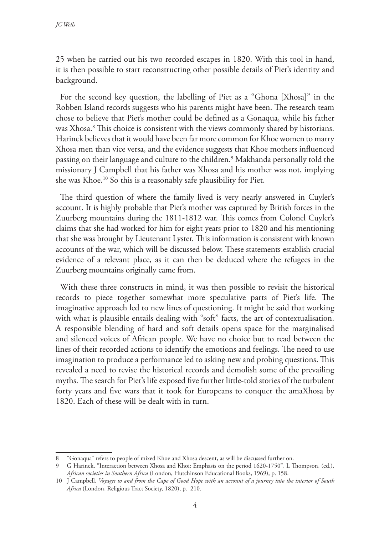25 when he carried out his two recorded escapes in 1820. With this tool in hand, it is then possible to start reconstructing other possible details of Piet's identity and background.

For the second key question, the labelling of Piet as a "Ghona [Xhosa]" in the Robben Island records suggests who his parents might have been. The research team chose to believe that Piet's mother could be defined as a Gonaqua, while his father was Xhosa.8 This choice is consistent with the views commonly shared by historians. Harinck believes that it would have been far more common for Khoe women to marry Xhosa men than vice versa, and the evidence suggests that Khoe mothers influenced passing on their language and culture to the children.9 Makhanda personally told the missionary J Campbell that his father was Xhosa and his mother was not, implying she was Khoe.10 So this is a reasonably safe plausibility for Piet.

The third question of where the family lived is very nearly answered in Cuyler's account. It is highly probable that Piet's mother was captured by British forces in the Zuurberg mountains during the 1811-1812 war. This comes from Colonel Cuyler's claims that she had worked for him for eight years prior to 1820 and his mentioning that she was brought by Lieutenant Lyster. This information is consistent with known accounts of the war, which will be discussed below. These statements establish crucial evidence of a relevant place, as it can then be deduced where the refugees in the Zuurberg mountains originally came from.

With these three constructs in mind, it was then possible to revisit the historical records to piece together somewhat more speculative parts of Piet's life. The imaginative approach led to new lines of questioning. It might be said that working with what is plausible entails dealing with "soft" facts, the art of contextualisation. A responsible blending of hard and soft details opens space for the marginalised and silenced voices of African people. We have no choice but to read between the lines of their recorded actions to identify the emotions and feelings. The need to use imagination to produce a performance led to asking new and probing questions. This revealed a need to revise the historical records and demolish some of the prevailing myths. The search for Piet's life exposed five further little-told stories of the turbulent forty years and five wars that it took for Europeans to conquer the amaXhosa by 1820. Each of these will be dealt with in turn.

<sup>8</sup> "Gonaqua" refers to people of mixed Khoe and Xhosa descent, as will be discussed further on.

<sup>9</sup> G Harinck, "Interaction between Xhosa and Khoi: Emphasis on the period 1620-1750", L Thompson, (ed.), *African societies in Southern Africa* (London, Hutchinson Educational Books, 1969), p. 158.

<sup>10</sup> J Campbell, *Voyages to and from the Cape of Good Hope with an account of a journey into the interior of South Africa* (London, Religious Tract Society, 1820), p. 210.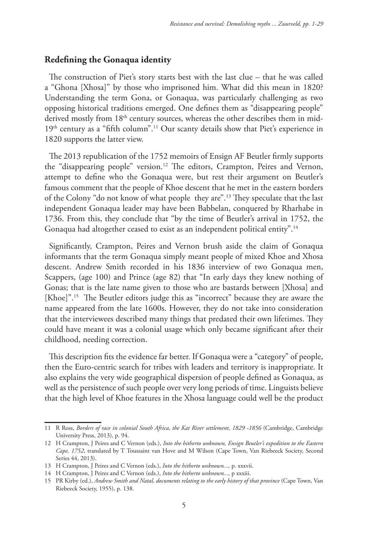### **Redefining the Gonaqua identity**

The construction of Piet's story starts best with the last clue – that he was called a "Ghona [Xhosa]" by those who imprisoned him. What did this mean in 1820? Understanding the term Gona, or Gonaqua, was particularly challenging as two opposing historical traditions emerged. One defines them as "disappearing people" derived mostly from 18<sup>th</sup> century sources, whereas the other describes them in mid-19<sup>th</sup> century as a "fifth column".<sup>11</sup> Our scanty details show that Piet's experience in 1820 supports the latter view.

The 2013 republication of the 1752 memoirs of Ensign AF Beutler firmly supports the "disappearing people" version.12 The editors, Crampton, Peires and Vernon, attempt to define who the Gonaqua were, but rest their argument on Beutler's famous comment that the people of Khoe descent that he met in the eastern borders of the Colony "do not know of what people they are".13 They speculate that the last independent Gonaqua leader may have been Babbelan, conquered by Rharhabe in 1736. From this, they conclude that "by the time of Beutler's arrival in 1752, the Gonaqua had altogether ceased to exist as an independent political entity".<sup>14</sup>

Significantly, Crampton, Peires and Vernon brush aside the claim of Gonaqua informants that the term Gonaqua simply meant people of mixed Khoe and Xhosa descent. Andrew Smith recorded in his 1836 interview of two Gonaqua men, Scappers, (age 100) and Prince (age 82) that "In early days they knew nothing of Gonas; that is the late name given to those who are bastards between [Xhosa] and [Khoe]".<sup>15</sup> The Beutler editors judge this as "incorrect" because they are aware the name appeared from the late 1600s. However, they do not take into consideration that the interviewees described many things that predated their own lifetimes. They could have meant it was a colonial usage which only became significant after their childhood, needing correction.

This description fits the evidence far better. If Gonaqua were a "category" of people, then the Euro-centric search for tribes with leaders and territory is inappropriate. It also explains the very wide geographical dispersion of people defined as Gonaqua, as well as the persistence of such people over very long periods of time. Linguists believe that the high level of Khoe features in the Xhosa language could well be the product

<sup>11</sup> R Ross, *Borders of race in colonial South Africa, the Kat River settlement, 1829 -1856* (Cambridge, Cambridge University Press, 2013), p. 94.

<sup>12</sup> H Crampton, J Peires and C Vernon (eds.), *Into the hitherto unknown, Ensign Beutler's expedition to the Eastern Cape, 1752*, translated by T Toussaint van Hove and M Wilson (Cape Town, Van Riebeeck Society, Second Series 44, 2013).

<sup>13</sup> H Crampton, J Peires and C Vernon (eds.), *Into the hitherto unknown...,* p. xxxvii.

<sup>14</sup> H Crampton, J Peires and C Vernon (eds.), *Into the hitherto unknown...,* p xxxiii.

<sup>15</sup> PR Kirby (ed.), *Andrew Smith and Natal, documents relating to the early history of that province* (Cape Town, Van Riebeeck Society, 1955), p. 138.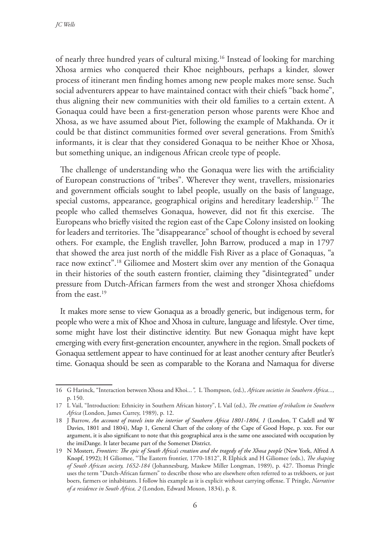of nearly three hundred years of cultural mixing.16 Instead of looking for marching Xhosa armies who conquered their Khoe neighbours, perhaps a kinder, slower process of itinerant men finding homes among new people makes more sense. Such social adventurers appear to have maintained contact with their chiefs "back home", thus aligning their new communities with their old families to a certain extent. A Gonaqua could have been a first-generation person whose parents were Khoe and Xhosa, as we have assumed about Piet, following the example of Makhanda. Or it could be that distinct communities formed over several generations. From Smith's informants, it is clear that they considered Gonaqua to be neither Khoe or Xhosa, but something unique, an indigenous African creole type of people.

The challenge of understanding who the Gonaqua were lies with the artificiality of European constructions of "tribes". Wherever they went, travellers, missionaries and government officials sought to label people, usually on the basis of language, special customs, appearance, geographical origins and hereditary leadership.17 The people who called themselves Gonaqua, however, did not fit this exercise. The Europeans who briefly visited the region east of the Cape Colony insisted on looking for leaders and territories. The "disappearance" school of thought is echoed by several others. For example, the English traveller, John Barrow, produced a map in 1797 that showed the area just north of the middle Fish River as a place of Gonaquas, "a race now extinct".18 Giliomee and Mostert skim over any mention of the Gonaqua in their histories of the south eastern frontier, claiming they "disintegrated" under pressure from Dutch-African farmers from the west and stronger Xhosa chiefdoms from the east  $19$ 

It makes more sense to view Gonaqua as a broadly generic, but indigenous term, for people who were a mix of Khoe and Xhosa in culture, language and lifestyle. Over time, some might have lost their distinctive identity. But new Gonaqua might have kept emerging with every first-generation encounter, anywhere in the region. Small pockets of Gonaqua settlement appear to have continued for at least another century after Beutler's time. Gonaqua should be seen as comparable to the Korana and Namaqua for diverse

<sup>16</sup> G Harinck, "Interaction between Xhosa and Khoi...*",* L Thompson, (ed.), *African societies in Southern Africa...,*  p. 150.

<sup>17</sup> L Vail, "Introduction: Ethnicity in Southern African history", L Vail (ed.), *The creation of tribalism in Southern Africa* (London, James Currey, 1989), p. 12.

<sup>18</sup> J Barrow, *An account of travels into the interior of Southern Africa 1801-1804, 1* (London, T Cadell and W Davies, 1801 and 1804), Map 1, General Chart of the colony of the Cape of Good Hope, p. xxx. For our argument, it is also significant to note that this geographical area is the same one associated with occupation by the imiDange. It later became part of the Somerset District.

<sup>19</sup> N Mostert, *Frontiers: The epic of South Africa's creation and the tragedy of the Xhosa people* (New York, Alfred A Knopf, 1992); H Giliomee, "The Eastern frontier, 1770-1812", R Elphick and H Giliomee (eds.), *The shaping of South African society, 1652-184* (Johannesburg, Maskew Miller Longman, 1989), p. 427. Thomas Pringle uses the term "Dutch-African farmers" to describe those who are elsewhere often referred to as trekboers, or just boers, farmers or inhabitants. I follow his example as it is explicit without carrying offense. T Pringle, *Narrative of a residence in South Africa, 2* (London, Edward Moxon, 1834), p. 8.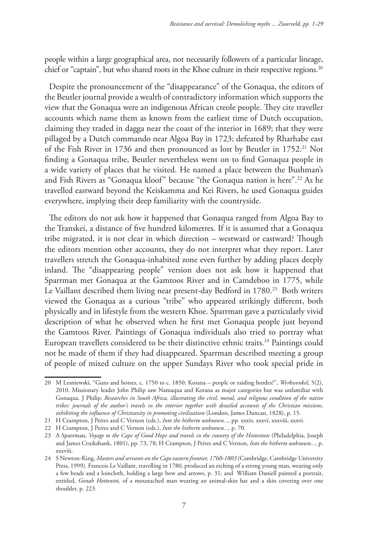people within a large geographical area, not necessarily followers of a particular lineage, chief or "captain", but who shared roots in the Khoe culture in their respective regions.<sup>20</sup>

Despite the pronouncement of the "disappearance" of the Gonaqua, the editors of the Beutler journal provide a wealth of contradictory information which supports the view that the Gonaqua were an indigenous African creole people. They cite traveller accounts which name them as known from the earliest time of Dutch occupation, claiming they traded in dagga near the coast of the interior in 1689; that they were pillaged by a Dutch commando near Algoa Bay in 1723; defeated by Rharhabe east of the Fish River in 1736 and then pronounced as lost by Beutler in 1752.<sup>21</sup> Not finding a Gonaqua tribe, Beutler nevertheless went on to find Gonaqua people in a wide variety of places that he visited. He named a place between the Bushman's and Fish Rivers as "Gonaqua kloof" because "the Gonaqua nation is here".22 As he travelled eastward beyond the Keiskamma and Kei Rivers, he used Gonaqua guides everywhere, implying their deep familiarity with the countryside.

The editors do not ask how it happened that Gonaqua ranged from Algoa Bay to the Transkei, a distance of five hundred kilometres. If it is assumed that a Gonaqua tribe migrated, it is not clear in which direction – westward or eastward? Though the editors mention other accounts, they do not interpret what they report. Later travellers stretch the Gonaqua-inhabited zone even further by adding places deeply inland. The "disappearing people" version does not ask how it happened that Sparrman met Gonaqua at the Gamtoos River and in Camdeboo in 1775, while Le Vaillant described them living near present-day Bedford in 1780.<sup>23</sup> Both writers viewed the Gonaqua as a curious "tribe" who appeared strikingly different, both physically and in lifestyle from the western Khoe. Sparrman gave a particularly vivid description of what he observed when he first met Gonaqua people just beyond the Gamtoos River. Paintings of Gonaqua individuals also tried to portray what European travellers considered to be their distinctive ethnic traits.<sup>24</sup> Paintings could not be made of them if they had disappeared. Sparrman described meeting a group of people of mixed culture on the upper Sundays River who took special pride in

<sup>20</sup> M Lesniewski, "Guns and horses, c. 1750 to c. 1850: Korana – people or raiding hordes?", *Werkwenkel*, 5(2), 2010. Missionary leader John Philip saw Namaqua and Korana as major categories but was unfamiliar with Gonaqua. J Philip, *Researches in South Africa, illustrating the civil, moral, and religious condition of the native tribes: journals of the author's travels in the interior together with detailed accounts of the Christian missions, exhibiting the influence of Christianity in promoting civilization* (London, James Duncan, 1828), p. 15.

<sup>21</sup> H Crampton, J Peires and C Vernon (eds.), *Into the hitherto unknown...,* pp. xxxiv, xxxvi, xxxviii, xxxvi.

<sup>22</sup> H Crampton, J Peires and C Vernon (eds.), *Into the hitherto unknown...,* p. 70.

<sup>23</sup> A Sparrman, *Voyage to the Cape of Good Hope and travels in the country of the Hottentots* (Philadelphia, Joseph and James Cruikshank, 1801), pp. 73, 78; H Crampton, J Peires and C Vernon, *Into the hitherto unknown...,* p. xxxviii.

<sup>24</sup> S Newton-King, *Masters and servants on the Cape eastern frontier, 1760-1803* (Cambridge, Cambridge University Press, 1999). Francois Le Vaillant, travelling in 1780, produced an etching of a strong young man, wearing only a few beads and a loincloth, holding a large bow and arrows, p. 31; and William Daniell painted a portrait, entitled, *Gonah Hottentot,* of a moustached man wearing an animal-skin hat and a skin covering over one shoulder, p. 223.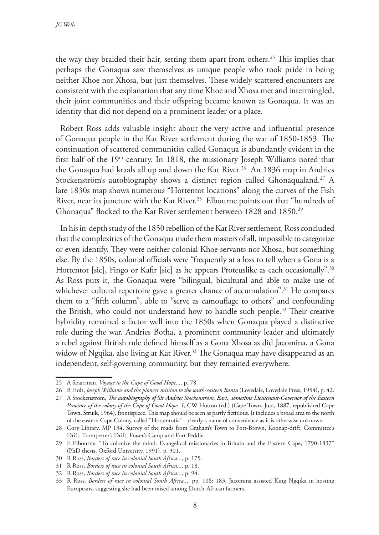the way they braided their hair, setting them apart from others.25 This implies that perhaps the Gonaqua saw themselves as unique people who took pride in being neither Khoe nor Xhosa, but just themselves. These widely scattered encounters are consistent with the explanation that any time Khoe and Xhosa met and intermingled, their joint communities and their offspring became known as Gonaqua. It was an identity that did not depend on a prominent leader or a place.

Robert Ross adds valuable insight about the very active and influential presence of Gonaqua people in the Kat River settlement during the war of 1850-1853. The continuation of scattered communities called Gonaqua is abundantly evident in the first half of the  $19<sup>th</sup>$  century. In 1818, the missionary Joseph Williams noted that the Gonaqua had kraals all up and down the Kat River.<sup>26</sup> An 1836 map in Andries Stockenström's autobiography shows a distinct region called Ghonaqualand.<sup>27</sup> A late 1830s map shows numerous "Hottentot locations" along the curves of the Fish River, near its juncture with the Kat River.<sup>28</sup> Elbourne points out that "hundreds of Ghonaqua" flocked to the Kat River settlement between 1828 and 1850.<sup>29</sup>

In his in-depth study of the 1850 rebellion of the Kat River settlement, Ross concluded that the complexities of the Gonaqua made them masters of all, impossible to categorize or even identify. They were neither colonial Khoe servants nor Xhosa, but something else. By the 1850s, colonial officials were "frequently at a loss to tell when a Gona is a Hottentot [sic], Fingo or Kafir [sic] as he appears Proteuslike as each occasionally".30 As Ross puts it, the Gonaqua were "bilingual, bicultural and able to make use of whichever cultural repertoire gave a greater chance of accumulation".<sup>31</sup> He compares them to a "fifth column", able to "serve as camouflage to others" and confounding the British, who could not understand how to handle such people.<sup>32</sup> Their creative hybridity remained a factor well into the 1850s when Gonaqua played a distinctive role during the war. Andries Botha, a prominent community leader and ultimately a rebel against British rule defined himself as a Gona Xhosa as did Jacomina, a Gona widow of Ngqika, also living at Kat River.<sup>33</sup> The Gonaqua may have disappeared as an independent, self-governing community, but they remained everywhere.

<sup>25</sup> A Sparrman, *Voyage to the Cape of Good Hope...,* p. 78.

<sup>26</sup> B Holt, *Joseph Williams and the pioneer mission to the south-eastern Bantu* (Lovedale, Lovedale Press, 1954), p. 42.

<sup>27</sup> A Stockenström, *The autobiography of Sir Andries Stockenström, Bart., sometime Lieutenant-Governor of the Eastern Province of the colony of the Cape of Good Hope, 1*, CW Hutton (ed.) (Cape Town, Juta, 1887, republished Cape Town, Struik, 1964), frontispiece. This map should be seen as partly fictitious. It includes a broad area to the north of the eastern Cape Colony, called "Hottentotia" – clearly a name of convenience as it is otherwise unknown.

<sup>28</sup> Cory Library, MP 134, Survey of the roads from Graham's Town to Fort-Brown, Koonap-drift, Committee's Drift, Trompetter's Drift, Fraser's Camp and Fort Peddie.

<sup>29</sup> E Elbourne, "To colonize the mind: Evangelical missionaries in Britain and the Eastern Cape, 1790-1837" (PhD thesis, Oxford University, 1991), p. 301.

<sup>30</sup> R Ross, *Borders of race in colonial South Africa...,* p. 175.

<sup>31</sup> R Ross, *Borders of race in colonial South Africa...,* p. 18.

<sup>32</sup> R Ross, *Borders of race in colonial South Africa...,* p. 94.

<sup>33</sup> R Ross, *Borders of race in colonial South Africa...,* pp. 106; 183. Jacomina assisted King Ngqika in hosting Europeans, suggesting she had been raised among Dutch-African farmers.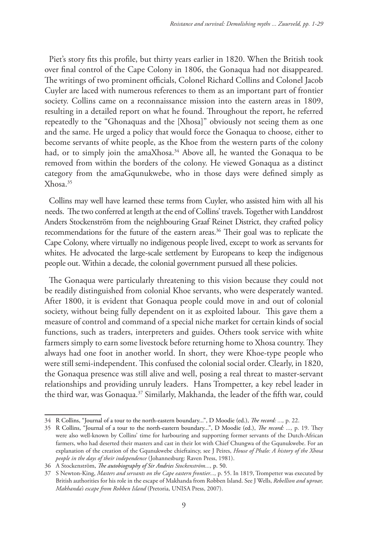Piet's story fits this profile, but thirty years earlier in 1820. When the British took over final control of the Cape Colony in 1806, the Gonaqua had not disappeared. The writings of two prominent officials, Colonel Richard Collins and Colonel Jacob Cuyler are laced with numerous references to them as an important part of frontier society. Collins came on a reconnaissance mission into the eastern areas in 1809, resulting in a detailed report on what he found. Throughout the report, he referred repeatedly to the "Ghonaquas and the [Xhosa]" obviously not seeing them as one and the same. He urged a policy that would force the Gonaqua to choose, either to become servants of white people, as the Khoe from the western parts of the colony had, or to simply join the amaXhosa.<sup>34</sup> Above all, he wanted the Gonaqua to be removed from within the borders of the colony. He viewed Gonaqua as a distinct category from the amaGqunukwebe, who in those days were defined simply as Xhosa.35

Collins may well have learned these terms from Cuyler, who assisted him with all his needs. The two conferred at length at the end of Collins' travels. Together with Landdrost Anders Stockenström from the neighbouring Graaf Reinet District, they crafted policy recommendations for the future of the eastern areas.<sup>36</sup> Their goal was to replicate the Cape Colony, where virtually no indigenous people lived, except to work as servants for whites. He advocated the large-scale settlement by Europeans to keep the indigenous people out. Within a decade, the colonial government pursued all these policies.

The Gonaqua were particularly threatening to this vision because they could not be readily distinguished from colonial Khoe servants, who were desperately wanted. After 1800, it is evident that Gonaqua people could move in and out of colonial society, without being fully dependent on it as exploited labour. This gave them a measure of control and command of a special niche market for certain kinds of social functions, such as traders, interpreters and guides. Others took service with white farmers simply to earn some livestock before returning home to Xhosa country. They always had one foot in another world. In short, they were Khoe-type people who were still semi-independent. This confused the colonial social order. Clearly, in 1820, the Gonaqua presence was still alive and well, posing a real threat to master-servant relationships and providing unruly leaders. Hans Trompetter, a key rebel leader in the third war, was Gonaqua.<sup>37</sup> Similarly, Makhanda, the leader of the fifth war, could

<sup>34</sup> R Collins, "Journal of a tour to the north-eastern boundary...", D Moodie (ed.), *The record: ...,* p. 22.

<sup>35</sup> R Collins, "Journal of a tour to the north-eastern boundary...", D Moodie (ed.), *The record: ...,* p. 19. They were also well-known by Collins' time for harbouring and supporting former servants of the Dutch-African farmers, who had deserted their masters and cast in their lot with Chief Chungwa of the Gqunukwebe. For an explanation of the creation of the Gqunukwebe chieftaincy, see J Peires, *House of Phalo: A history of the Xhosa people in the days of their independence* (Johannesburg: Raven Press, 1981).

<sup>36</sup> A Stockenström, *The autobiography of Sir Andries Stockenström...,* p. 50.

<sup>37</sup> S Newton-King, *Masters and servants on the Cape eastern frontier...*, p. 55. In 1819, Trompetter was executed by British authorities for his role in the escape of Makhanda from Robben Island. See J Wells, *Rebellion and uproar, Makhanda's escape from Robben Island* (Pretoria, UNISA Press, 2007).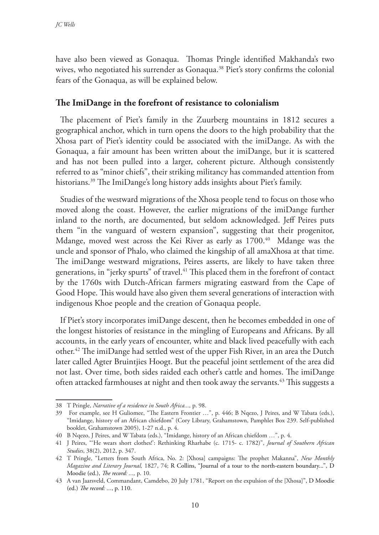have also been viewed as Gonaqua. Thomas Pringle identified Makhanda's two wives, who negotiated his surrender as Gonaqua.<sup>38</sup> Piet's story confirms the colonial fears of the Gonaqua, as will be explained below.

## **The ImiDange in the forefront of resistance to colonialism**

The placement of Piet's family in the Zuurberg mountains in 1812 secures a geographical anchor, which in turn opens the doors to the high probability that the Xhosa part of Piet's identity could be associated with the imiDange. As with the Gonaqua, a fair amount has been written about the imiDange, but it is scattered and has not been pulled into a larger, coherent picture. Although consistently referred to as "minor chiefs", their striking militancy has commanded attention from historians.<sup>39</sup> The ImiDange's long history adds insights about Piet's family.

Studies of the westward migrations of the Xhosa people tend to focus on those who moved along the coast. However, the earlier migrations of the imiDange further inland to the north, are documented, but seldom acknowledged. Jeff Peires puts them "in the vanguard of western expansion", suggesting that their progenitor, Mdange, moved west across the Kei River as early as 1700.<sup>40</sup> Mdange was the uncle and sponsor of Phalo, who claimed the kingship of all amaXhosa at that time. The imiDange westward migrations, Peires asserts, are likely to have taken three generations, in "jerky spurts" of travel.41 This placed them in the forefront of contact by the 1760s with Dutch-African farmers migrating eastward from the Cape of Good Hope. This would have also given them several generations of interaction with indigenous Khoe people and the creation of Gonaqua people.

If Piet's story incorporates imiDange descent, then he becomes embedded in one of the longest histories of resistance in the mingling of Europeans and Africans. By all accounts, in the early years of encounter, white and black lived peacefully with each other.42 The imiDange had settled west of the upper Fish River, in an area the Dutch later called Agter Bruintjies Hoogt. But the peaceful joint settlement of the area did not last. Over time, both sides raided each other's cattle and homes. The imiDange often attacked farmhouses at night and then took away the servants.<sup>43</sup> This suggests a

<sup>38</sup> T Pringle, *Narrative of a residence in South Africa...,* p. 98.

<sup>39</sup> For example, see H Guliomee, "The Eastern Frontier …", p. 446; B Nqezo, J Peires, and W Tabata (eds.), "Imidange, history of an African chiefdom" (Cory Library, Grahamstown, Pamphlet Box 239. Self-published booklet, Grahamstown 2005), 1-27 n.d., p. 4.

<sup>40</sup> B Nqezo, J Peires, and W Tabata (eds.), "Imidange, history of an African chiefdom …", p. 4.

<sup>41</sup> J Peires, "'He wears short clothes!': Rethinking Rharhabe (c. 1715- c. 1782)", *Journal of Southern African Studies*, 38(2), 2012, p. 347.

<sup>42</sup> T Pringle, "Letters from South Africa, No. 2: [Xhosa] campaigns: The prophet Makanna", *New Monthly Magazine and Literary Journal,* 1827, 74; R Collins, "Journal of a tour to the north-eastern boundary...", D Moodie (ed.), *The record: ...,* p. 10.

<sup>43</sup> A van Jaarsveld, Commandant, Camdebo, 20 July 1781, "Report on the expulsion of the [Xhosa]", D Moodie (ed.) *The record: ...*, p. 110.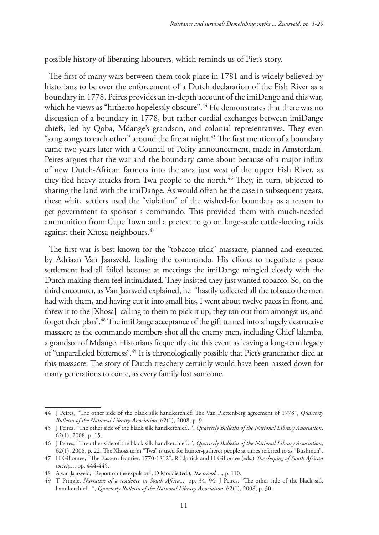possible history of liberating labourers, which reminds us of Piet's story.

The first of many wars between them took place in 1781 and is widely believed by historians to be over the enforcement of a Dutch declaration of the Fish River as a boundary in 1778. Peires provides an in-depth account of the imiDange and this war, which he views as "hitherto hopelessly obscure".<sup>44</sup> He demonstrates that there was no discussion of a boundary in 1778, but rather cordial exchanges between imiDange chiefs, led by Qoba, Mdange's grandson, and colonial representatives. They even "sang songs to each other" around the fire at night.<sup>45</sup> The first mention of a boundary came two years later with a Council of Polity announcement, made in Amsterdam. Peires argues that the war and the boundary came about because of a major influx of new Dutch-African farmers into the area just west of the upper Fish River, as they fled heavy attacks from Twa people to the north.<sup>46</sup> They, in turn, objected to sharing the land with the imiDange. As would often be the case in subsequent years, these white settlers used the "violation" of the wished-for boundary as a reason to get government to sponsor a commando. This provided them with much-needed ammunition from Cape Town and a pretext to go on large-scale cattle-looting raids against their Xhosa neighbours.<sup>47</sup>

The first war is best known for the "tobacco trick" massacre, planned and executed by Adriaan Van Jaarsveld, leading the commando. His efforts to negotiate a peace settlement had all failed because at meetings the imiDange mingled closely with the Dutch making them feel intimidated. They insisted they just wanted tobacco. So, on the third encounter, as Van Jaarsveld explained, he "hastily collected all the tobacco the men had with them, and having cut it into small bits, I went about twelve paces in front, and threw it to the [Xhosa] calling to them to pick it up; they ran out from amongst us, and forgot their plan".48 The imiDange acceptance of the gift turned into a hugely destructive massacre as the commando members shot all the enemy men, including Chief Jalamba, a grandson of Mdange. Historians frequently cite this event as leaving a long-term legacy of "unparalleled bitterness".49 It is chronologically possible that Piet's grandfather died at this massacre. The story of Dutch treachery certainly would have been passed down for many generations to come, as every family lost someone.

<sup>44</sup> J Peires, "The other side of the black silk handkerchief: The Van Plettenberg agreement of 1778", *Quarterly Bulletin of the National Library Association*, 62(1), 2008, p. 9.

<sup>45</sup> J Peires, "The other side of the black silk handkerchief...", *Quarterly Bulletin of the National Library Association*, 62(1), 2008, p. 15.

<sup>46</sup> J Peires, "The other side of the black silk handkerchief...", *Quarterly Bulletin of the National Library Association*, 62(1), 2008, p. 22. The Xhosa term "Twa" is used for hunter-gatherer people at times referred to as "Bushmen".

<sup>47</sup> H Giliomee, "The Eastern frontier, 1770-1812", R Elphick and H Giliomee (eds.) *The shaping of South African society...*, pp. 444-445.

<sup>48</sup> A van Jaarsveld, "Report on the expulsion", D Moodie (ed.), *The record: ...,* p. 110.

<sup>49</sup> T Pringle, *Narrative of a residence in South Africa...,* pp. 34, 94; J Peires, "The other side of the black silk handkerchief*...*", *Quarterly Bulletin of the National Library Association*, 62(1), 2008, p. 30.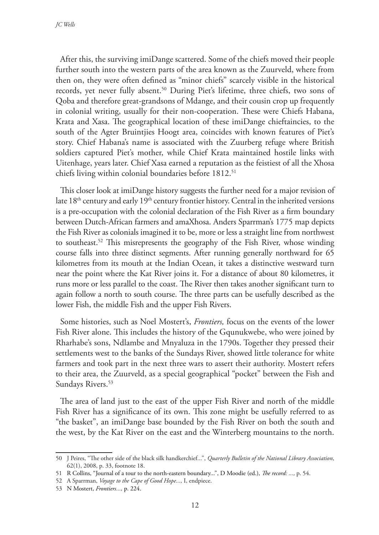After this, the surviving imiDange scattered. Some of the chiefs moved their people further south into the western parts of the area known as the Zuurveld, where from then on, they were often defined as "minor chiefs" scarcely visible in the historical records, yet never fully absent.<sup>50</sup> During Piet's lifetime, three chiefs, two sons of Qoba and therefore great-grandsons of Mdange, and their cousin crop up frequently in colonial writing, usually for their non-cooperation. These were Chiefs Habana, Krata and Xasa. The geographical location of these imiDange chieftaincies, to the south of the Agter Bruintjies Hoogt area, coincides with known features of Piet's story. Chief Habana's name is associated with the Zuurberg refuge where British soldiers captured Piet's mother, while Chief Krata maintained hostile links with Uitenhage, years later. Chief Xasa earned a reputation as the feistiest of all the Xhosa chiefs living within colonial boundaries before 1812.<sup>51</sup>

This closer look at imiDange history suggests the further need for a major revision of late 18<sup>th</sup> century and early 19<sup>th</sup> century frontier history. Central in the inherited versions is a pre-occupation with the colonial declaration of the Fish River as a firm boundary between Dutch-African farmers and amaXhosa. Anders Sparrman's 1775 map depicts the Fish River as colonials imagined it to be, more or less a straight line from northwest to southeast.52 This misrepresents the geography of the Fish River, whose winding course falls into three distinct segments. After running generally northward for 65 kilometres from its mouth at the Indian Ocean, it takes a distinctive westward turn near the point where the Kat River joins it. For a distance of about 80 kilometres, it runs more or less parallel to the coast. The River then takes another significant turn to again follow a north to south course. The three parts can be usefully described as the lower Fish, the middle Fish and the upper Fish Rivers.

Some histories, such as Noel Mostert's, *Frontiers,* focus on the events of the lower Fish River alone. This includes the history of the Gqunukwebe, who were joined by Rharhabe's sons, Ndlambe and Mnyaluza in the 1790s. Together they pressed their settlements west to the banks of the Sundays River, showed little tolerance for white farmers and took part in the next three wars to assert their authority. Mostert refers to their area, the Zuurveld, as a special geographical "pocket" between the Fish and Sundays Rivers.<sup>53</sup>

The area of land just to the east of the upper Fish River and north of the middle Fish River has a significance of its own. This zone might be usefully referred to as "the basket", an imiDange base bounded by the Fish River on both the south and the west, by the Kat River on the east and the Winterberg mountains to the north.

<sup>50</sup> J Peires, "The other side of the black silk handkerchief...", *Quarterly Bulletin of the National Library Association*, 62(1), 2008, p. 33, footnote 18.

<sup>51</sup> R Collins, "Journal of a tour to the north-eastern boundary...", D Moodie (ed.), *The record: ...,* p. 54.

<sup>52</sup> A Sparrman, *Voyage to the Cape of Good Hope...,* I, endpiece.

<sup>53</sup> N Mostert, *Frontiers...,* p. 224.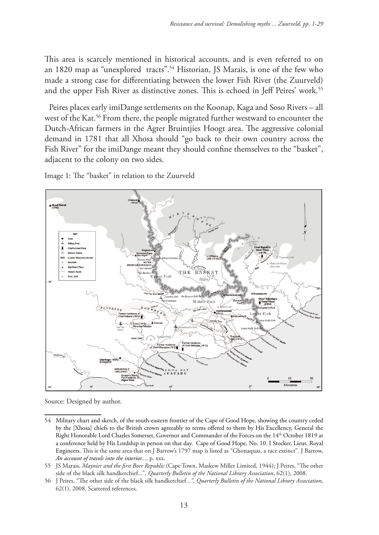This area is scarcely mentioned in historical accounts, and is even referred to on an 1820 map as "unexplored tracts".54 Historian, JS Marais, is one of the few who made a strong case for differentiating between the lower Fish River (the Zuurveld) and the upper Fish River as distinctive zones. This is echoed in Jeff Peires' work.<sup>55</sup>

Peires places early imiDange settlements on the Koonap, Kaga and Soso Rivers – all west of the Kat.<sup>56</sup> From there, the people migrated further westward to encounter the Dutch-African farmers in the Agter Bruintjies Hoogt area. The aggressive colonial demand in 1781 that all Xhosa should "go back to their own country across the Fish River" for the imiDange meant they should confine themselves to the "basket", adjacent to the colony on two sides.

Image 1: The "basket" in relation to the Zuurveld



Source: Designed by author.

<sup>54</sup> Military chart and sketch, of the south-eastern frontier of the Cape of Good Hope, showing the country ceded by the [Xhosa] chiefs to the British crown agreeably to terms offered to them by His Excellency, General the Right Honorable Lord Charles Somerset, Governor and Commander of the Forces on the 14th October 1819 at a conference held by His Lordship in person on that day. Cape of Good Hope, No. 10. I Stocker, Lieut. Royal Engineers. This is the same area that on J Barrow's 1797 map is listed as "Ghonaquas, a race extinct". J Barrow, *An account of travels into the interior...,* p. xxx.

<sup>55</sup> JS Marais, *Maynier and the first Boer Republic* (Cape Town, Maskew Miller Limited, 1944); J Peires, "The other side of the black silk handkerchief...", *Quarterly Bulletin of the National Library Association*, 62(1), 2008.

<sup>56</sup> J Peires, "The other side of the black silk handkerchief*..."*, *Quarterly Bulletin of the National Library Association*, 62(1), 2008. Scattered references.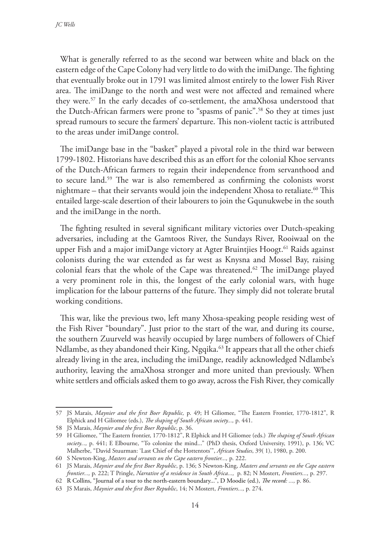What is generally referred to as the second war between white and black on the eastern edge of the Cape Colony had very little to do with the imiDange. The fighting that eventually broke out in 1791 was limited almost entirely to the lower Fish River area. The imiDange to the north and west were not affected and remained where they were.57 In the early decades of co-settlement, the amaXhosa understood that the Dutch-African farmers were prone to "spasms of panic".58 So they at times just spread rumours to secure the farmers' departure. This non-violent tactic is attributed to the areas under imiDange control.

The imiDange base in the "basket" played a pivotal role in the third war between 1799-1802. Historians have described this as an effort for the colonial Khoe servants of the Dutch-African farmers to regain their independence from servanthood and to secure land.59 The war is also remembered as confirming the colonists worst nightmare – that their servants would join the independent Xhosa to retaliate.<sup>60</sup> This entailed large-scale desertion of their labourers to join the Gqunukwebe in the south and the imiDange in the north.

The fighting resulted in several significant military victories over Dutch-speaking adversaries, including at the Gamtoos River, the Sundays River, Rooiwaal on the upper Fish and a major imiDange victory at Agter Bruintjies Hoogt.<sup>61</sup> Raids against colonists during the war extended as far west as Knysna and Mossel Bay, raising colonial fears that the whole of the Cape was threatened.<sup>62</sup> The imiDange played a very prominent role in this, the longest of the early colonial wars, with huge implication for the labour patterns of the future. They simply did not tolerate brutal working conditions.

This war, like the previous two, left many Xhosa-speaking people residing west of the Fish River "boundary". Just prior to the start of the war, and during its course, the southern Zuurveld was heavily occupied by large numbers of followers of Chief Ndlambe, as they abandoned their King, Ngqika.<sup>63</sup> It appears that all the other chiefs already living in the area, including the imiDange, readily acknowledged Ndlambe's authority, leaving the amaXhosa stronger and more united than previously. When white settlers and officials asked them to go away, across the Fish River, they comically

<sup>57</sup> JS Marais, *Maynier and the first Boer Republic,* p. 49; H Giliomee, "The Eastern Frontier, 1770-1812", R Elphick and H Giliomee (eds.), *The shaping of South African society...,* p. 441.

<sup>58</sup> JS Marais, *Maynier and the first Boer Republic*, p. 36.

<sup>59</sup> H Giliomee, "The Eastern frontier, 1770-1812", R Elphick and H Giliomee (eds.) *The shaping of South African society...,* p. 441; E Elbourne, "To colonize the mind..." (PhD thesis, Oxford University, 1991), p. 136; VC Malherbe, "David Stuurman: 'Last Chief of the Hottentots'", *African Studies*, 39( 1), 1980, p. 200.

<sup>60</sup> S Newton-King, *Masters and servants on the Cape eastern frontier...,* p. 222.

<sup>61</sup> JS Marais, *Maynier and the first Boer Republic*, p. 136; S Newton-King, *Masters and servants on the Cape eastern frontier...,* p. 222; T Pringle, *Narrative of a residence in South Africa...,* p. 82; N Mostert, *Frontiers...,* p. 297.

<sup>62</sup> R Collins, "Journal of a tour to the north-eastern boundary...", D Moodie (ed.), *The record: ...,* p. 86.

<sup>63</sup> JS Marais, *Maynier and the first Boer Republic*, 14; N Mostert, *Frontiers...,* p. 274.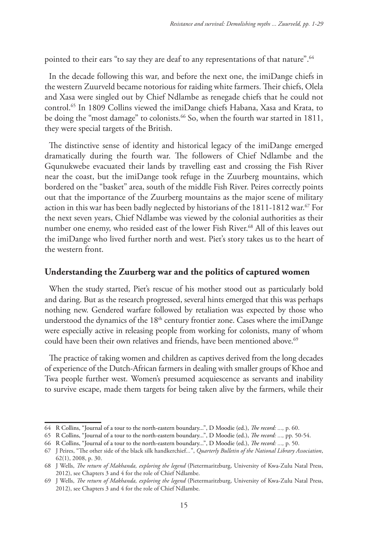pointed to their ears "to say they are deaf to any representations of that nature".<sup>64</sup>

In the decade following this war, and before the next one, the imiDange chiefs in the western Zuurveld became notorious for raiding white farmers. Their chiefs, Olela and Xasa were singled out by Chief Ndlambe as renegade chiefs that he could not control.65 In 1809 Collins viewed the imiDange chiefs Habana, Xasa and Krata, to be doing the "most damage" to colonists.<sup>66</sup> So, when the fourth war started in 1811, they were special targets of the British.

The distinctive sense of identity and historical legacy of the imiDange emerged dramatically during the fourth war. The followers of Chief Ndlambe and the Gqunukwebe evacuated their lands by travelling east and crossing the Fish River near the coast, but the imiDange took refuge in the Zuurberg mountains, which bordered on the "basket" area, south of the middle Fish River. Peires correctly points out that the importance of the Zuurberg mountains as the major scene of military action in this war has been badly neglected by historians of the  $1811$ -1812 war.<sup>67</sup> For the next seven years, Chief Ndlambe was viewed by the colonial authorities as their number one enemy, who resided east of the lower Fish River.<sup>68</sup> All of this leaves out the imiDange who lived further north and west. Piet's story takes us to the heart of the western front.

### **Understanding the Zuurberg war and the politics of captured women**

When the study started, Piet's rescue of his mother stood out as particularly bold and daring. But as the research progressed, several hints emerged that this was perhaps nothing new. Gendered warfare followed by retaliation was expected by those who understood the dynamics of the 18<sup>th</sup> century frontier zone. Cases where the imiDange were especially active in releasing people from working for colonists, many of whom could have been their own relatives and friends, have been mentioned above.<sup>69</sup>

The practice of taking women and children as captives derived from the long decades of experience of the Dutch-African farmers in dealing with smaller groups of Khoe and Twa people further west. Women's presumed acquiescence as servants and inability to survive escape, made them targets for being taken alive by the farmers, while their

<sup>64</sup> R Collins, "Journal of a tour to the north-eastern boundary...", D Moodie (ed.), *The record: ...,* p. 60.

<sup>65</sup> R Collins, "Journal of a tour to the north-eastern boundary...", D Moodie (ed.), *The record: ...,* pp. 50-54.

<sup>66</sup> R Collins, "Journal of a tour to the north-eastern boundary...", D Moodie (ed.), *The record: ...,* p. 50.

<sup>67</sup> J Peires, "The other side of the black silk handkerchief*...*", *Quarterly Bulletin of the National Library Association*, 62(1), 2008, p. 30.

<sup>68</sup> J Wells, *The return of Makhanda, exploring the legend* (Pietermaritzburg, University of Kwa-Zulu Natal Press, 2012), see Chapters 3 and 4 for the role of Chief Ndlambe.

<sup>69</sup> J Wells, *The return of Makhanda, exploring the legend* (Pietermaritzburg, University of Kwa-Zulu Natal Press, 2012), see Chapters 3 and 4 for the role of Chief Ndlambe.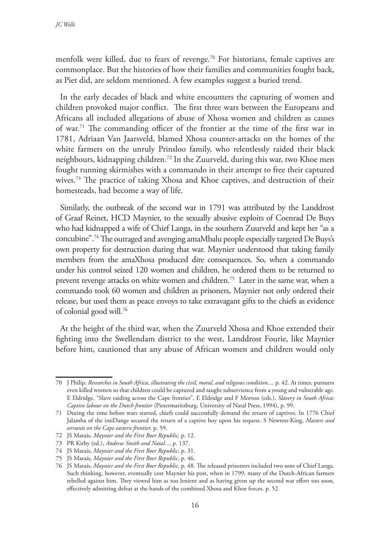menfolk were killed, due to fears of revenge.70 For historians, female captives are commonplace. But the histories of how their families and communities fought back, as Piet did, are seldom mentioned. A few examples suggest a buried trend.

In the early decades of black and white encounters the capturing of women and children provoked major conflict. The first three wars between the Europeans and Africans all included allegations of abuse of Xhosa women and children as causes of war.71 The commanding officer of the frontier at the time of the first war in 1781, Adriaan Van Jaarsveld, blamed Xhosa counter-attacks on the homes of the white farmers on the unruly Prinsloo family, who relentlessly raided their black neighbours, kidnapping children.72 In the Zuurveld, during this war, two Khoe men fought running skirmishes with a commando in their attempt to free their captured wives.73 The practice of taking Xhosa and Khoe captives, and destruction of their homesteads, had become a way of life.

Similarly, the outbreak of the second war in 1791 was attributed by the Landdrost of Graaf Reinet, HCD Maynier, to the sexually abusive exploits of Coenrad De Buys who had kidnapped a wife of Chief Langa, in the southern Zuurveld and kept her "as a concubine".74 The outraged and avenging amaMbalu people especially targeted De Buys's own property for destruction during that war. Maynier understood that taking family members from the amaXhosa produced dire consequences. So, when a commando under his control seized 120 women and children, he ordered them to be returned to prevent revenge attacks on white women and children.75 Later in the same war, when a commando took 60 women and children as prisoners, Maynier not only ordered their release, but used them as peace envoys to take extravagant gifts to the chiefs as evidence of colonial good will.76

At the height of the third war, when the Zuurveld Xhosa and Khoe extended their fighting into the Swellendam district to the west, Landdrost Fourie, like Maynier before him, cautioned that any abuse of African women and children would only

<sup>70</sup> J Philip, *Researches in South Africa, illustrating the civil, moral, and religious condition...,* p. 42. At times, pursuers even killed women so that children could be captured and taught subservience from a young and vulnerable age. E Eldridge, "Slave raiding across the Cape frontier", E Eldridge and F Morton (eds.), *Slavery in South Africa: Captive labour on the Dutch frontier* (Pietermaritzburg, University of Natal Press, 1994), p. 99.

<sup>71</sup> During the time before wars started, chiefs could successfully demand the return of captives. In 1776 Chief Jalamba of the imiDange secured the return of a captive boy upon his request. S Newton-King, *Masters and servants on the Cape eastern frontier,* p. 59.

<sup>72</sup> JS Marais, *Maynier and the First Boer Republic,* p. 12.

<sup>73</sup> PR Kirby (ed.), *Andrew Smith and Natal...,* p. 137.

<sup>74</sup> JS Marais, *Maynier and the First Boer Republic*, p. 31.

<sup>75</sup> JS Marais, *Maynier and the First Boer Republic*, p. 46.

<sup>76</sup> JS Marais, *Maynier and the First Boer Republic,* p. 48. The released prisoners included two sons of Chief Langa. Such thinking, however, eventually cost Maynier his post, when in 1799, many of the Dutch-African farmers rebelled against him. They viewed him as too lenient and as having given up the second war effort too soon, effectively admitting defeat at the hands of the combined Xhosa and Khoe forces. p. 52.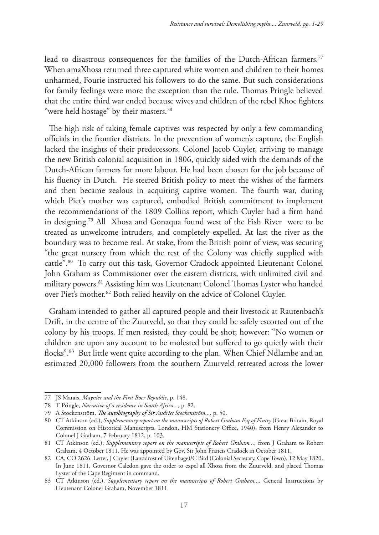lead to disastrous consequences for the families of the Dutch-African farmers.77 When amaXhosa returned three captured white women and children to their homes unharmed, Fourie instructed his followers to do the same. But such considerations for family feelings were more the exception than the rule. Thomas Pringle believed that the entire third war ended because wives and children of the rebel Khoe fighters "were held hostage" by their masters.<sup>78</sup>

The high risk of taking female captives was respected by only a few commanding officials in the frontier districts. In the prevention of women's capture, the English lacked the insights of their predecessors. Colonel Jacob Cuyler, arriving to manage the new British colonial acquisition in 1806, quickly sided with the demands of the Dutch-African farmers for more labour. He had been chosen for the job because of his fluency in Dutch. He steered British policy to meet the wishes of the farmers and then became zealous in acquiring captive women. The fourth war, during which Piet's mother was captured, embodied British commitment to implement the recommendations of the 1809 Collins report, which Cuyler had a firm hand in designing.79 All Xhosa and Gonaqua found west of the Fish River were to be treated as unwelcome intruders, and completely expelled. At last the river as the boundary was to become real. At stake, from the British point of view, was securing "the great nursery from which the rest of the Colony was chiefly supplied with cattle".80 To carry out this task, Governor Cradock appointed Lieutenant Colonel John Graham as Commissioner over the eastern districts, with unlimited civil and military powers.81 Assisting him was Lieutenant Colonel Thomas Lyster who handed over Piet's mother.82 Both relied heavily on the advice of Colonel Cuyler.

Graham intended to gather all captured people and their livestock at Rautenbach's Drift, in the centre of the Zuurveld, so that they could be safely escorted out of the colony by his troops. If men resisted, they could be shot; however: "No women or children are upon any account to be molested but suffered to go quietly with their flocks".<sup>83</sup> But little went quite according to the plan. When Chief Ndlambe and an estimated 20,000 followers from the southern Zuurveld retreated across the lower

<sup>77</sup> JS Marais, *Maynier and the First Boer Republic*, p. 148.

<sup>78</sup> T Pringle, *Narrative of a residence in South Africa...,* p. 82.

<sup>79</sup> A Stockenström, *The autobiography of Sir Andries Stockenström...,* p. 50.

<sup>80</sup> CT Atkinson (ed.), *Supplementary report on the manuscripts of Robert Graham Esq of Fintry* (Great Britain, Royal Commission on Historical Manuscripts. London, HM Stationery Office, 1940), from Henry Alexander to Colonel J Graham, 7 February 1812, p. 103.

<sup>81</sup> CT Atkinson (ed.), *Supplementary report on the manuscripts of Robert Graham...,* from J Graham to Robert Graham, 4 October 1811. He was appointed by Gov. Sir John Francis Cradock in October 1811.

<sup>82</sup> CA, CO 2626: Letter, J Cuyler (Landdrost of Uitenhage)/C Bird (Colonial Secretary, Cape Town), 12 May 1820. In June 1811, Governor Caledon gave the order to expel all Xhosa from the Zuurveld, and placed Thomas Lyster of the Cape Regiment in command.

<sup>83</sup> CT Atkinson (ed.), *Supplementary report on the manuscripts of Robert Graham...,* General Instructions by Lieutenant Colonel Graham, November 1811.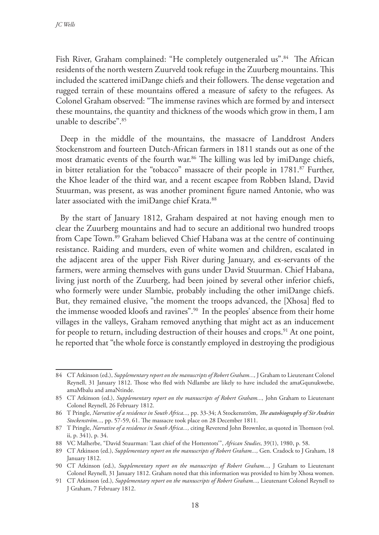Fish River, Graham complained: "He completely outgeneraled us".<sup>84</sup> The African residents of the north western Zuurveld took refuge in the Zuurberg mountains. This included the scattered imiDange chiefs and their followers. The dense vegetation and rugged terrain of these mountains offered a measure of safety to the refugees. As Colonel Graham observed: "The immense ravines which are formed by and intersect these mountains, the quantity and thickness of the woods which grow in them, I am unable to describe".85

Deep in the middle of the mountains, the massacre of Landdrost Anders Stockenstrom and fourteen Dutch-African farmers in 1811 stands out as one of the most dramatic events of the fourth war.<sup>86</sup> The killing was led by imiDange chiefs, in bitter retaliation for the "tobacco" massacre of their people in 1781.<sup>87</sup> Further, the Khoe leader of the third war, and a recent escapee from Robben Island, David Stuurman, was present, as was another prominent figure named Antonie, who was later associated with the imiDange chief Krata.<sup>88</sup>

By the start of January 1812, Graham despaired at not having enough men to clear the Zuurberg mountains and had to secure an additional two hundred troops from Cape Town.<sup>89</sup> Graham believed Chief Habana was at the centre of continuing resistance. Raiding and murders, even of white women and children, escalated in the adjacent area of the upper Fish River during January, and ex-servants of the farmers, were arming themselves with guns under David Stuurman. Chief Habana, living just north of the Zuurberg, had been joined by several other inferior chiefs, who formerly were under Slambie, probably including the other imiDange chiefs. But, they remained elusive, "the moment the troops advanced, the [Xhosa] fled to the immense wooded kloofs and ravines".90 In the peoples' absence from their home villages in the valleys, Graham removed anything that might act as an inducement for people to return, including destruction of their houses and crops.<sup>91</sup> At one point, he reported that "the whole force is constantly employed in destroying the prodigious

<sup>84</sup> CT Atkinson (ed.), *Supplementary report on the manuscripts of Robert Graham...,* J Graham to Lieutenant Colonel Reynell, 31 January 1812. Those who fled with Ndlambe are likely to have included the amaGqunukwebe, amaMbalu and amaNtinde.

<sup>85</sup> CT Atkinson (ed.), *Supplementary report on the manuscripts of Robert Graham...,* John Graham to Lieutenant Colonel Reynell, 26 February 1812.

<sup>86</sup> T Pringle, *Narrative of a residence in South Africa...,* pp. 33-34; A Stockenström, *The autobiography of Sir Andries Stockenström...,* pp. 57-59, 61. The massacre took place on 28 December 1811.

<sup>87</sup> T Pringle, *Narrative of a residence in South Africa...,* citing Reverend John Brownlee, as quoted in Thomson (vol. ii, p. 341), p. 34.

<sup>88</sup> VC Malherbe, "David Stuurman: 'Last chief of the Hottentots'", *African Studies*, 39(1), 1980, p. 58.

<sup>89</sup> CT Atkinson (ed.), *Supplementary report on the manuscripts of Robert Graham...,* Gen. Cradock to J Graham, 18 January 1812.

<sup>90</sup> CT Atkinson (ed.), *Supplementary report on the manuscripts of Robert Graham...,* J Graham to Lieutenant Colonel Reynell, 31 January 1812. Graham noted that this information was provided to him by Xhosa women.

<sup>91</sup> CT Atkinson (ed.), *Supplementary report on the manuscripts of Robert Graham...,* Lieutenant Colonel Reynell to J Graham, 7 February 1812.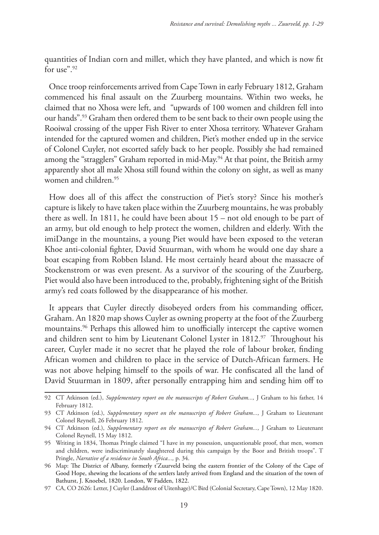quantities of Indian corn and millet, which they have planted, and which is now fit for use" $92$ 

Once troop reinforcements arrived from Cape Town in early February 1812, Graham commenced his final assault on the Zuurberg mountains. Within two weeks, he claimed that no Xhosa were left, and "upwards of 100 women and children fell into our hands".93 Graham then ordered them to be sent back to their own people using the Rooiwal crossing of the upper Fish River to enter Xhosa territory. Whatever Graham intended for the captured women and children, Piet's mother ended up in the service of Colonel Cuyler, not escorted safely back to her people. Possibly she had remained among the "stragglers" Graham reported in mid-May.<sup>94</sup> At that point, the British army apparently shot all male Xhosa still found within the colony on sight, as well as many women and children.95

How does all of this affect the construction of Piet's story? Since his mother's capture is likely to have taken place within the Zuurberg mountains, he was probably there as well. In 1811, he could have been about 15 – not old enough to be part of an army, but old enough to help protect the women, children and elderly. With the imiDange in the mountains, a young Piet would have been exposed to the veteran Khoe anti-colonial fighter, David Stuurman, with whom he would one day share a boat escaping from Robben Island. He most certainly heard about the massacre of Stockenstrom or was even present. As a survivor of the scouring of the Zuurberg, Piet would also have been introduced to the, probably, frightening sight of the British army's red coats followed by the disappearance of his mother.

It appears that Cuyler directly disobeyed orders from his commanding officer, Graham. An 1820 map shows Cuyler as owning property at the foot of the Zuurberg mountains.<sup>96</sup> Perhaps this allowed him to unofficially intercept the captive women and children sent to him by Lieutenant Colonel Lyster in  $1812.^{\circ}$  Throughout his career, Cuyler made it no secret that he played the role of labour broker, finding African women and children to place in the service of Dutch-African farmers. He was not above helping himself to the spoils of war. He confiscated all the land of David Stuurman in 1809, after personally entrapping him and sending him off to

<sup>92</sup> CT Atkinson (ed.), *Supplementary report on the manuscripts of Robert Graham...,* J Graham to his father, 14 February 1812.

<sup>93</sup> CT Atkinson (ed.), *Supplementary report on the manuscripts of Robert Graham...,* J Graham to Lieutenant Colonel Reynell, 26 February 1812.

<sup>94</sup> CT Atkinson (ed.), *Supplementary report on the manuscripts of Robert Graham...,* J Graham to Lieutenant Colonel Reynell, 15 May 1812.

<sup>95</sup> Writing in 1834, Thomas Pringle claimed "I have in my possession, unquestionable proof, that men, women and children, were indiscriminately slaughtered during this campaign by the Boor and British troops". T Pringle, *Narrative of a residence in South Africa...,* p. 34.

<sup>96</sup> Map: The District of Albany, formerly t'Zuurveld being the eastern frontier of the Colony of the Cape of Good Hope, shewing the locations of the settlers lately arrived from England and the situation of the town of Bathurst, J. Knoebel, 1820. London, W Fadden, 1822.

<sup>97</sup> CA, CO 2626: Letter, J Cuyler (Landdrost of Uitenhage)/C Bird (Colonial Secretary, Cape Town), 12 May 1820.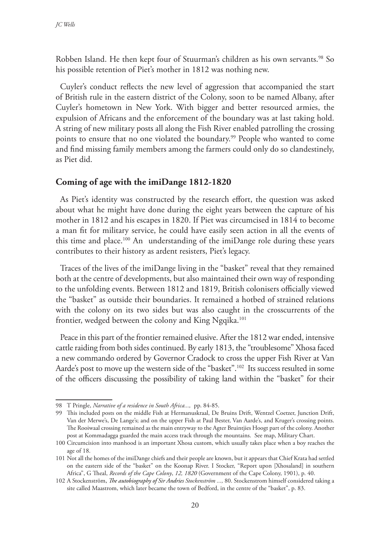Robben Island. He then kept four of Stuurman's children as his own servants.<sup>98</sup> So his possible retention of Piet's mother in 1812 was nothing new.

Cuyler's conduct reflects the new level of aggression that accompanied the start of British rule in the eastern district of the Colony, soon to be named Albany, after Cuyler's hometown in New York. With bigger and better resourced armies, the expulsion of Africans and the enforcement of the boundary was at last taking hold. A string of new military posts all along the Fish River enabled patrolling the crossing points to ensure that no one violated the boundary.99 People who wanted to come and find missing family members among the farmers could only do so clandestinely, as Piet did.

## **Coming of age with the imiDange 1812-1820**

As Piet's identity was constructed by the research effort, the question was asked about what he might have done during the eight years between the capture of his mother in 1812 and his escapes in 1820. If Piet was circumcised in 1814 to become a man fit for military service, he could have easily seen action in all the events of this time and place.100 An understanding of the imiDange role during these years contributes to their history as ardent resisters, Piet's legacy.

Traces of the lives of the imiDange living in the "basket" reveal that they remained both at the centre of developments, but also maintained their own way of responding to the unfolding events. Between 1812 and 1819, British colonisers officially viewed the "basket" as outside their boundaries. It remained a hotbed of strained relations with the colony on its two sides but was also caught in the crosscurrents of the frontier, wedged between the colony and King Ngqika.<sup>101</sup>

Peace in this part of the frontier remained elusive. After the 1812 war ended, intensive cattle raiding from both sides continued. By early 1813, the "troublesome" Xhosa faced a new commando ordered by Governor Cradock to cross the upper Fish River at Van Aarde's post to move up the western side of the "basket".<sup>102</sup> Its success resulted in some of the officers discussing the possibility of taking land within the "basket" for their

<sup>98</sup> T Pringle, *Narrative of a residence in South Africa...,* pp. 84-85.

<sup>99</sup> This included posts on the middle Fish at Hermanuskraal, De Bruins Drift, Wentzel Coetzer, Junction Drift, Van der Merwe's, De Lange's; and on the upper Fish at Paul Bester, Van Aarde's, and Kruger's crossing points. The Rooiwaal crossing remained as the main entryway to the Agter Bruintjies Hoogt part of the colony. Another post at Kommadagga guarded the main access track through the mountains. See map, Military Chart.

<sup>100</sup> Circumcision into manhood is an important Xhosa custom, which usually takes place when a boy reaches the age of 18.

<sup>101</sup> Not all the homes of the imiDange chiefs and their people are known, but it appears that Chief Krata had settled on the eastern side of the "basket" on the Koonap River. I Stocker, "Report upon [Xhosaland] in southern Africa", G Theal, *Records of the Cape Colony*, *12, 1820* (Government of the Cape Colony, 1901), p. 40.

<sup>102</sup> A Stockenström, *The autobiography of Sir Andries Stockenström ...,* 80. Stockenstrom himself considered taking a site called Maastrom, which later became the town of Bedford, in the centre of the "basket", p. 83.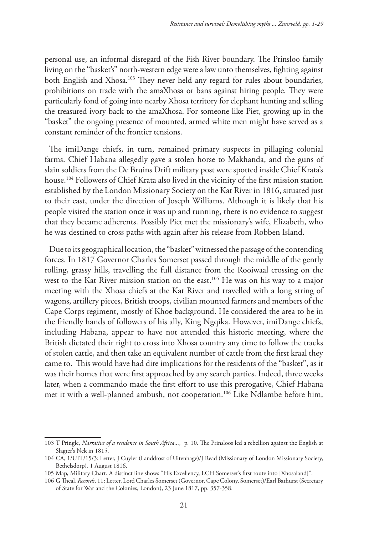personal use, an informal disregard of the Fish River boundary. The Prinsloo family living on the "basket's" north-western edge were a law unto themselves, fighting against both English and Xhosa.<sup>103</sup> They never held any regard for rules about boundaries, prohibitions on trade with the amaXhosa or bans against hiring people. They were particularly fond of going into nearby Xhosa territory for elephant hunting and selling the treasured ivory back to the amaXhosa. For someone like Piet, growing up in the "basket" the ongoing presence of mounted, armed white men might have served as a constant reminder of the frontier tensions.

The imiDange chiefs, in turn, remained primary suspects in pillaging colonial farms. Chief Habana allegedly gave a stolen horse to Makhanda, and the guns of slain soldiers from the De Bruins Drift military post were spotted inside Chief Krata's house.104 Followers of Chief Krata also lived in the vicinity of the first mission station established by the London Missionary Society on the Kat River in 1816, situated just to their east, under the direction of Joseph Williams. Although it is likely that his people visited the station once it was up and running, there is no evidence to suggest that they became adherents. Possibly Piet met the missionary's wife, Elizabeth, who he was destined to cross paths with again after his release from Robben Island.

Due to its geographical location, the "basket" witnessed the passage of the contending forces. In 1817 Governor Charles Somerset passed through the middle of the gently rolling, grassy hills, travelling the full distance from the Rooiwaal crossing on the west to the Kat River mission station on the east.<sup>105</sup> He was on his way to a major meeting with the Xhosa chiefs at the Kat River and travelled with a long string of wagons, artillery pieces, British troops, civilian mounted farmers and members of the Cape Corps regiment, mostly of Khoe background. He considered the area to be in the friendly hands of followers of his ally, King Ngqika. However, imiDange chiefs, including Habana, appear to have not attended this historic meeting, where the British dictated their right to cross into Xhosa country any time to follow the tracks of stolen cattle, and then take an equivalent number of cattle from the first kraal they came to. This would have had dire implications for the residents of the "basket", as it was their homes that were first approached by any search parties. Indeed, three weeks later, when a commando made the first effort to use this prerogative, Chief Habana met it with a well-planned ambush, not cooperation.106 Like Ndlambe before him,

<sup>103</sup> T Pringle, *Narrative of a residence in South Africa...,* p. 10. The Prinsloos led a rebellion against the English at Slagter's Nek in 1815.

<sup>104</sup> CA, 1/UIT/15/3: Letter, J Cuyler (Landdrost of Uitenhage)/J Read (Missionary of London Missionary Society, Bethelsdorp), 1 August 1816.

<sup>105</sup> Map, Military Chart. A distinct line shows "His Excellency, LCH Somerset's first route into [Xhosaland]".

<sup>106</sup> G Theal, *Records*, 11: Letter, Lord Charles Somerset (Governor, Cape Colony, Somerset)/Earl Bathurst (Secretary of State for War and the Colonies, London), 23 June 1817, pp. 357-358.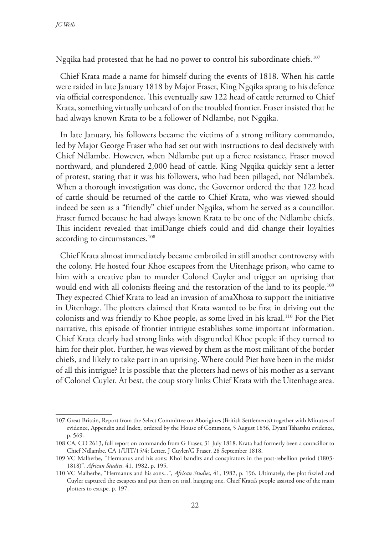Ngqika had protested that he had no power to control his subordinate chiefs.107

Chief Krata made a name for himself during the events of 1818. When his cattle were raided in late January 1818 by Major Fraser, King Ngqika sprang to his defence via official correspondence. This eventually saw 122 head of cattle returned to Chief Krata, something virtually unheard of on the troubled frontier. Fraser insisted that he had always known Krata to be a follower of Ndlambe, not Ngqika.

In late January, his followers became the victims of a strong military commando, led by Major George Fraser who had set out with instructions to deal decisively with Chief Ndlambe. However, when Ndlambe put up a fierce resistance, Fraser moved northward, and plundered 2,000 head of cattle. King Ngqika quickly sent a letter of protest, stating that it was his followers, who had been pillaged, not Ndlambe's. When a thorough investigation was done, the Governor ordered the that 122 head of cattle should be returned of the cattle to Chief Krata, who was viewed should indeed be seen as a "friendly" chief under Ngqika, whom he served as a councillor. Fraser fumed because he had always known Krata to be one of the Ndlambe chiefs. This incident revealed that imiDange chiefs could and did change their loyalties according to circumstances.<sup>108</sup>

Chief Krata almost immediately became embroiled in still another controversy with the colony. He hosted four Khoe escapees from the Uitenhage prison, who came to him with a creative plan to murder Colonel Cuyler and trigger an uprising that would end with all colonists fleeing and the restoration of the land to its people.<sup>109</sup> They expected Chief Krata to lead an invasion of amaXhosa to support the initiative in Uitenhage. The plotters claimed that Krata wanted to be first in driving out the colonists and was friendly to Khoe people, as some lived in his kraal.110 For the Piet narrative, this episode of frontier intrigue establishes some important information. Chief Krata clearly had strong links with disgruntled Khoe people if they turned to him for their plot. Further, he was viewed by them as the most militant of the border chiefs, and likely to take part in an uprising. Where could Piet have been in the midst of all this intrigue? It is possible that the plotters had news of his mother as a servant of Colonel Cuyler. At best, the coup story links Chief Krata with the Uitenhage area.

<sup>107</sup> Great Britain, Report from the Select Committee on Aborigines (British Settlements) together with Minutes of evidence, Appendix and Index, ordered by the House of Commons, 5 August 1836, Dyani Tshatshu evidence, p. 569.

<sup>108</sup> CA, CO 2613, full report on commando from G Fraser, 31 July 1818. Krata had formerly been a councillor to Chief Ndlambe. CA 1/UIT/15/4: Letter, J Cuyler/G Fraser, 28 September 1818.

<sup>109</sup> VC Malherbe, "Hermanus and his sons: Khoi bandits and conspirators in the post-rebellion period (1803- 1818)", *African Studies,* 41, 1982, p. 195.

<sup>110</sup> VC Malherbe, "Hermanus and his sons*...*", *African Studies,* 41, 1982, p. 196. Ultimately, the plot fizzled and Cuyler captured the escapees and put them on trial, hanging one. Chief Krata's people assisted one of the main plotters to escape. p. 197.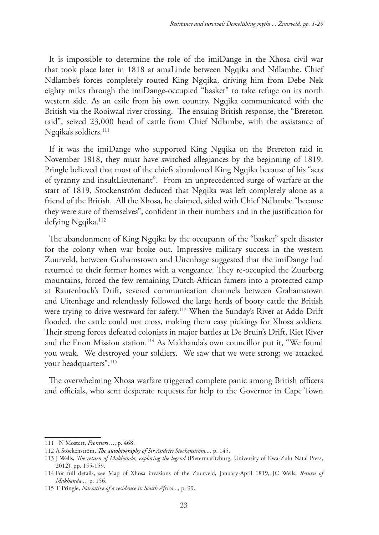It is impossible to determine the role of the imiDange in the Xhosa civil war that took place later in 1818 at amaLinde between Ngqika and Ndlambe. Chief Ndlambe's forces completely routed King Ngqika, driving him from Debe Nek eighty miles through the imiDange-occupied "basket" to take refuge on its north western side. As an exile from his own country, Ngqika communicated with the British via the Rooiwaal river crossing. The ensuing British response, the "Brereton raid", seized 23,000 head of cattle from Chief Ndlambe, with the assistance of Ngqika's soldiers.<sup>111</sup>

If it was the imiDange who supported King Ngqika on the Brereton raid in November 1818, they must have switched allegiances by the beginning of 1819. Pringle believed that most of the chiefs abandoned King Ngqika because of his "acts of tyranny and insultLieutenant". From an unprecedented surge of warfare at the start of 1819, Stockenström deduced that Ngqika was left completely alone as a friend of the British. All the Xhosa, he claimed, sided with Chief Ndlambe "because they were sure of themselves", confident in their numbers and in the justification for defying Ngqika.<sup>112</sup>

The abandonment of King Ngqika by the occupants of the "basket" spelt disaster for the colony when war broke out. Impressive military success in the western Zuurveld, between Grahamstown and Uitenhage suggested that the imiDange had returned to their former homes with a vengeance. They re-occupied the Zuurberg mountains, forced the few remaining Dutch-African famers into a protected camp at Rautenbach's Drift, severed communication channels between Grahamstown and Uitenhage and relentlessly followed the large herds of booty cattle the British were trying to drive westward for safety.<sup>113</sup> When the Sunday's River at Addo Drift flooded, the cattle could not cross, making them easy pickings for Xhosa soldiers. Their strong forces defeated colonists in major battles at De Bruin's Drift, Riet River and the Enon Mission station.<sup>114</sup> As Makhanda's own councillor put it, "We found you weak. We destroyed your soldiers. We saw that we were strong; we attacked your headquarters".115

The overwhelming Xhosa warfare triggered complete panic among British officers and officials, who sent desperate requests for help to the Governor in Cape Town

<sup>111</sup> N Mostert, *Frontiers*…, p. 468.

<sup>112</sup> A Stockenström, *The autobiography of Sir Andries Stockenström...,* p. 145.

<sup>113</sup> J Wells, *The return of Makhanda, exploring the legend* (Pietermaritzburg, University of Kwa-Zulu Natal Press, 2012), pp. 155-159.

<sup>114</sup> For full details, see Map of Xhosa invasions of the Zuurveld, January-April 1819, JC Wells, *Return of Makhanda...,* p. 156.

<sup>115</sup> T Pringle, *Narrative of a residence in South Africa...,* p. 99.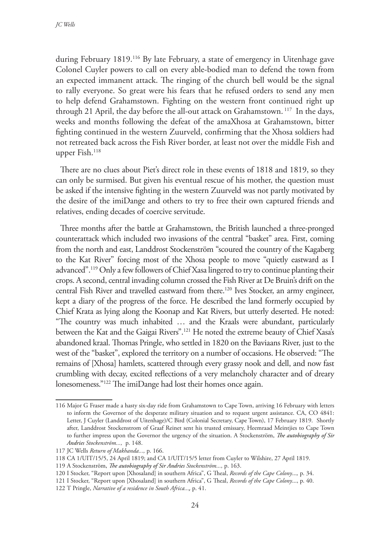during February 1819.116 By late February, a state of emergency in Uitenhage gave Colonel Cuyler powers to call on every able-bodied man to defend the town from an expected immanent attack. The ringing of the church bell would be the signal to rally everyone. So great were his fears that he refused orders to send any men to help defend Grahamstown. Fighting on the western front continued right up through 21 April, the day before the all-out attack on Grahamstown. 117 In the days, weeks and months following the defeat of the amaXhosa at Grahamstown, bitter fighting continued in the western Zuurveld, confirming that the Xhosa soldiers had not retreated back across the Fish River border, at least not over the middle Fish and upper Fish.<sup>118</sup>

There are no clues about Piet's direct role in these events of 1818 and 1819, so they can only be surmised. But given his eventual rescue of his mother, the question must be asked if the intensive fighting in the western Zuurveld was not partly motivated by the desire of the imiDange and others to try to free their own captured friends and relatives, ending decades of coercive servitude.

Three months after the battle at Grahamstown, the British launched a three-pronged counterattack which included two invasions of the central "basket" area. First, coming from the north and east, Landdrost Stockenström "scoured the country of the Kagaberg to the Kat River" forcing most of the Xhosa people to move "quietly eastward as I advanced".119 Only a few followers of Chief Xasa lingered to try to continue planting their crops. A second, central invading column crossed the Fish River at De Bruin's drift on the central Fish River and travelled eastward from there.<sup>120</sup> Ives Stocker, an army engineer, kept a diary of the progress of the force. He described the land formerly occupied by Chief Krata as lying along the Koonap and Kat Rivers, but utterly deserted. He noted: "The country was much inhabited … and the Kraals were abundant, particularly between the Kat and the Gaigai Rivers".121 He noted the extreme beauty of Chief Xasa's abandoned kraal. Thomas Pringle, who settled in 1820 on the Baviaans River, just to the west of the "basket", explored the territory on a number of occasions. He observed: "The remains of [Xhosa] hamlets, scattered through every grassy nook and dell, and now fast crumbling with decay, excited reflections of a very melancholy character and of dreary lonesomeness."122 The imiDange had lost their homes once again.

<sup>116</sup> Major G Fraser made a hasty six-day ride from Grahamstown to Cape Town, arriving 16 February with letters to inform the Governor of the desperate military situation and to request urgent assistance. CA, CO 4841: Letter, J Cuyler (Landdrost of Uitenhage)/C Bird (Colonial Secretary, Cape Town), 17 February 1819. Shortly after, Landdrost Stockenstrom of Graaf Reinet sent his trusted emissary, Heemraad Meintjies to Cape Town to further impress upon the Governor the urgency of the situation. A Stockenström, *The autobiography of Sir Andries Stockenström...,* p. 148.

<sup>117</sup> JC Wells *Return of Makhanda...,* p. 166.

<sup>118</sup> CA 1/UIT/15/5, 24 April 1819; and CA 1/UIT/15/5 letter from Cuyler to Wilshire, 27 April 1819.

<sup>119</sup> A Stockenström, *The autobiography of Sir Andries Stockenström...,* p. 163.

<sup>120</sup> I Stocker, "Report upon [Xhosaland] in southern Africa", G Theal, *Records of the Cape Colony*...*,* p. 34.

<sup>121</sup> I Stocker, "Report upon [Xhosaland] in southern Africa", G Theal, *Records of the Cape Colony*..., p. 40.

<sup>122</sup> T Pringle, *Narrative of a residence in South Africa...,* p. 41.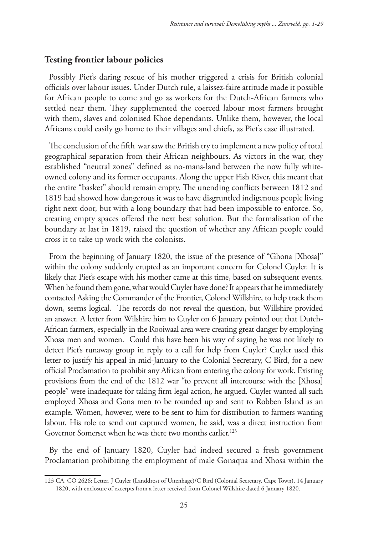### **Testing frontier labour policies**

Possibly Piet's daring rescue of his mother triggered a crisis for British colonial officials over labour issues. Under Dutch rule, a laissez-faire attitude made it possible for African people to come and go as workers for the Dutch-African farmers who settled near them. They supplemented the coerced labour most farmers brought with them, slaves and colonised Khoe dependants. Unlike them, however, the local Africans could easily go home to their villages and chiefs, as Piet's case illustrated.

The conclusion of the fifth war saw the British try to implement a new policy of total geographical separation from their African neighbours. As victors in the war, they established "neutral zones" defined as no-mans-land between the now fully whiteowned colony and its former occupants. Along the upper Fish River, this meant that the entire "basket" should remain empty. The unending conflicts between 1812 and 1819 had showed how dangerous it was to have disgruntled indigenous people living right next door, but with a long boundary that had been impossible to enforce. So, creating empty spaces offered the next best solution. But the formalisation of the boundary at last in 1819, raised the question of whether any African people could cross it to take up work with the colonists.

From the beginning of January 1820, the issue of the presence of "Ghona [Xhosa]" within the colony suddenly erupted as an important concern for Colonel Cuyler. It is likely that Piet's escape with his mother came at this time, based on subsequent events. When he found them gone, what would Cuyler have done? It appears that he immediately contacted Asking the Commander of the Frontier, Colonel Willshire, to help track them down, seems logical. The records do not reveal the question, but Willshire provided an answer. A letter from Wilshire him to Cuyler on 6 January pointed out that Dutch-African farmers, especially in the Rooiwaal area were creating great danger by employing Xhosa men and women. Could this have been his way of saying he was not likely to detect Piet's runaway group in reply to a call for help from Cuyler? Cuyler used this letter to justify his appeal in mid-January to the Colonial Secretary, C Bird, for a new official Proclamation to prohibit any African from entering the colony for work. Existing provisions from the end of the 1812 war "to prevent all intercourse with the [Xhosa] people" were inadequate for taking firm legal action, he argued. Cuyler wanted all such employed Xhosa and Gona men to be rounded up and sent to Robben Island as an example. Women, however, were to be sent to him for distribution to farmers wanting labour. His role to send out captured women, he said, was a direct instruction from Governor Somerset when he was there two months earlier.<sup>123</sup>

By the end of January 1820, Cuyler had indeed secured a fresh government Proclamation prohibiting the employment of male Gonaqua and Xhosa within the

<sup>123</sup> CA, CO 2626: Letter, J Cuyler (Landdrost of Uitenhage)/C Bird (Colonial Secretary, Cape Town), 14 January 1820, with enclosure of excerpts from a letter received from Colonel Willshire dated 6 January 1820.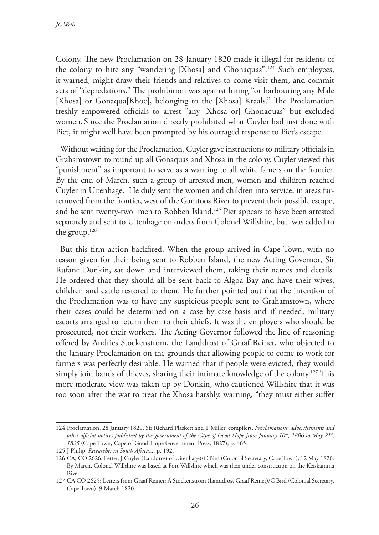Colony. The new Proclamation on 28 January 1820 made it illegal for residents of the colony to hire any "wandering [Xhosa] and Ghonaquas".124 Such employees, it warned, might draw their friends and relatives to come visit them, and commit acts of "depredations." The prohibition was against hiring "or harbouring any Male [Xhosa] or Gonaqua[Khoe], belonging to the [Xhosa] Kraals." The Proclamation freshly empowered officials to arrest "any [Xhosa or] Ghonaquas" but excluded women. Since the Proclamation directly prohibited what Cuyler had just done with Piet, it might well have been prompted by his outraged response to Piet's escape.

Without waiting for the Proclamation, Cuyler gave instructions to military officials in Grahamstown to round up all Gonaquas and Xhosa in the colony. Cuyler viewed this "punishment" as important to serve as a warning to all white famers on the frontier. By the end of March, such a group of arrested men, women and children reached Cuyler in Uitenhage. He duly sent the women and children into service, in areas farremoved from the frontier, west of the Gamtoos River to prevent their possible escape, and he sent twenty-two men to Robben Island.125 Piet appears to have been arrested separately and sent to Uitenhage on orders from Colonel Willshire, but was added to the group.126

But this firm action backfired. When the group arrived in Cape Town, with no reason given for their being sent to Robben Island, the new Acting Governor, Sir Rufane Donkin, sat down and interviewed them, taking their names and details. He ordered that they should all be sent back to Algoa Bay and have their wives, children and cattle restored to them. He further pointed out that the intention of the Proclamation was to have any suspicious people sent to Grahamstown, where their cases could be determined on a case by case basis and if needed, military escorts arranged to return them to their chiefs. It was the employers who should be prosecuted, not their workers. The Acting Governor followed the line of reasoning offered by Andries Stockenstrom, the Landdrost of Graaf Reinet, who objected to the January Proclamation on the grounds that allowing people to come to work for farmers was perfectly desirable. He warned that if people were evicted, they would simply join bands of thieves, sharing their intimate knowledge of the colony.127 This more moderate view was taken up by Donkin, who cautioned Willshire that it was too soon after the war to treat the Xhosa harshly, warning, "they must either suffer

<sup>124</sup> Proclamation, 28 January 1820. Sir Richard Plaskett and T Miller, compilers, *Proclamations, advertisements and*  other official notices published by the government of the Cape of Good Hope from January 10<sup>th</sup>, 1806 to May 21<sup>a</sup>, *1825* (Cape Town, Cape of Good Hope Government Press, 1827), p. 465.

<sup>125</sup> J Philip, *Researches in South Africa...,* p. 192.

<sup>126</sup> CA, CO 2626: Letter, J Cuyler (Landdrost of Uitenhage)/C Bird (Colonial Secretary, Cape Town), 12 May 1820. By March, Colonel Willshire was based at Fort Willshire which was then under construction on the Keiskamma River.

<sup>127</sup> CA CO 2625: Letters from Graaf Reinet: A Stockenstrom (Landdrost Graaf Reinet)/C Bird (Colonial Secretary, Cape Town), 9 March 1820.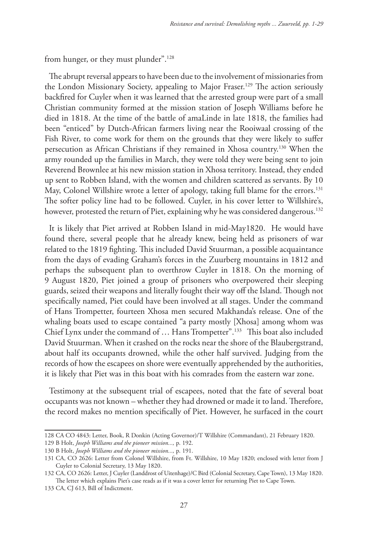from hunger, or they must plunder".<sup>128</sup>

The abrupt reversal appears to have been due to the involvement of missionaries from the London Missionary Society, appealing to Major Fraser.<sup>129</sup> The action seriously backfired for Cuyler when it was learned that the arrested group were part of a small Christian community formed at the mission station of Joseph Williams before he died in 1818. At the time of the battle of amaLinde in late 1818, the families had been "enticed" by Dutch-African farmers living near the Rooiwaal crossing of the Fish River, to come work for them on the grounds that they were likely to suffer persecution as African Christians if they remained in Xhosa country.130 When the army rounded up the families in March, they were told they were being sent to join Reverend Brownlee at his new mission station in Xhosa territory. Instead, they ended up sent to Robben Island, with the women and children scattered as servants. By 10 May, Colonel Willshire wrote a letter of apology, taking full blame for the errors.<sup>131</sup> The softer policy line had to be followed. Cuyler, in his cover letter to Willshire's, however, protested the return of Piet, explaining why he was considered dangerous.<sup>132</sup>

It is likely that Piet arrived at Robben Island in mid-May1820. He would have found there, several people that he already knew, being held as prisoners of war related to the 1819 fighting. This included David Stuurman, a possible acquaintance from the days of evading Graham's forces in the Zuurberg mountains in 1812 and perhaps the subsequent plan to overthrow Cuyler in 1818. On the morning of 9 August 1820, Piet joined a group of prisoners who overpowered their sleeping guards, seized their weapons and literally fought their way off the Island. Though not specifically named, Piet could have been involved at all stages. Under the command of Hans Trompetter, fourteen Xhosa men secured Makhanda's release. One of the whaling boats used to escape contained "a party mostly [Xhosa] among whom was Chief Lynx under the command of ... Hans Trompetter".<sup>133</sup> This boat also included David Stuurman. When it crashed on the rocks near the shore of the Blaubergstrand, about half its occupants drowned, while the other half survived. Judging from the records of how the escapees on shore were eventually apprehended by the authorities, it is likely that Piet was in this boat with his comrades from the eastern war zone.

Testimony at the subsequent trial of escapees, noted that the fate of several boat occupants was not known – whether they had drowned or made it to land. Therefore, the record makes no mention specifically of Piet. However, he surfaced in the court

133 CA, CJ 613, Bill of Indictment.

<sup>128</sup> CA CO 4843: Letter, Book, R Donkin (Acting Governor)/T Willshire (Commandant), 21 February 1820. 129 B Holt, *Joseph Williams and the pioneer mission...,* p. 192.

<sup>130</sup> B Holt, *Joseph Williams and the pioneer mission...,* p. 191.

<sup>131</sup> CA, CO 2626: Letter from Colonel Willshire, from Ft. Willshire, 10 May 1820; enclosed with letter from J Cuyler to Colonial Secretary, 13 May 1820.

<sup>132</sup> CA, CO 2626: Letter, J Cuyler (Landdrost of Uitenhage)/C Bird (Colonial Secretary, Cape Town), 13 May 1820. The letter which explains Piet's case reads as if it was a cover letter for returning Piet to Cape Town.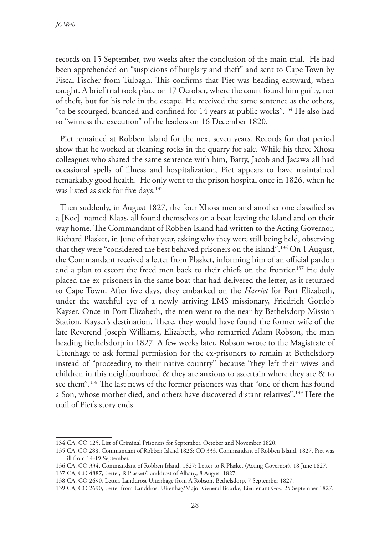records on 15 September, two weeks after the conclusion of the main trial. He had been apprehended on "suspicions of burglary and theft" and sent to Cape Town by Fiscal Fischer from Tulbagh. This confirms that Piet was heading eastward, when caught. A brief trial took place on 17 October, where the court found him guilty, not of theft, but for his role in the escape. He received the same sentence as the others, "to be scourged, branded and confined for 14 years at public works".134 He also had to "witness the execution" of the leaders on 16 December 1820.

Piet remained at Robben Island for the next seven years. Records for that period show that he worked at cleaning rocks in the quarry for sale. While his three Xhosa colleagues who shared the same sentence with him, Batty, Jacob and Jacawa all had occasional spells of illness and hospitalization, Piet appears to have maintained remarkably good health. He only went to the prison hospital once in 1826, when he was listed as sick for five days.<sup>135</sup>

Then suddenly, in August 1827, the four Xhosa men and another one classified as a [Koe] named Klaas, all found themselves on a boat leaving the Island and on their way home. The Commandant of Robben Island had written to the Acting Governor, Richard Plasket, in June of that year, asking why they were still being held, observing that they were "considered the best behaved prisoners on the island".136 On 1 August, the Commandant received a letter from Plasket, informing him of an official pardon and a plan to escort the freed men back to their chiefs on the frontier.<sup>137</sup> He duly placed the ex-prisoners in the same boat that had delivered the letter, as it returned to Cape Town. After five days, they embarked on the *Harriet* for Port Elizabeth, under the watchful eye of a newly arriving LMS missionary, Friedrich Gottlob Kayser. Once in Port Elizabeth, the men went to the near-by Bethelsdorp Mission Station, Kayser's destination. There, they would have found the former wife of the late Reverend Joseph Williams, Elizabeth, who remarried Adam Robson, the man heading Bethelsdorp in 1827. A few weeks later, Robson wrote to the Magistrate of Uitenhage to ask formal permission for the ex-prisoners to remain at Bethelsdorp instead of "proceeding to their native country" because "they left their wives and children in this neighbourhood & they are anxious to ascertain where they are & to see them".138 The last news of the former prisoners was that "one of them has found a Son, whose mother died, and others have discovered distant relatives".139 Here the trail of Piet's story ends.

137 CA, CO 4887, Letter, R Plasket/Landdrost of Albany, 8 August 1827.

<sup>134</sup> CA, CO 125, List of Criminal Prisoners for September, October and November 1820.

<sup>135</sup> CA, CO 288, Commandant of Robben Island 1826; CO 333, Commandant of Robben Island, 1827. Piet was ill from 14-19 September.

<sup>136</sup> CA, CO 334, Commandant of Robben Island, 1827: Letter to R Plasket (Acting Governor), 18 June 1827.

<sup>138</sup> CA, CO 2690, Letter, Landdrost Uitenhage from A Robson, Bethelsdorp, 7 September 1827.

<sup>139</sup> CA, CO 2690, Letter from Landdrost Uitenhag/Major General Bourke, Lieutenant Gov. 25 September 1827.